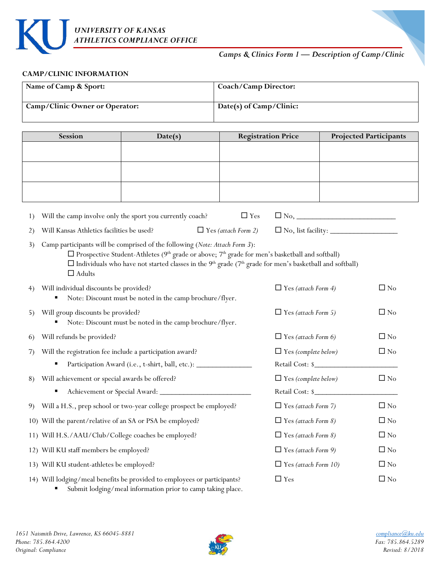

# *Camps & Clinics Form 1 — Description of Camp/Clinic*

#### **CAMP/CLINIC INFORMATION**

 $\mathbf{I}$ 

| Name of Camp & Sport:          | Coach/Camp Director:    |
|--------------------------------|-------------------------|
| Camp/Clinic Owner or Operator: | Date(s) of Camp/Clinic: |

| Session | Date(s) | <b>Registration Price</b> | <b>Projected Participants</b> |
|---------|---------|---------------------------|-------------------------------|
|         |         |                           |                               |
|         |         |                           |                               |
|         |         |                           |                               |
|         |         |                           |                               |
|         |         |                           |                               |
|         |         |                           |                               |

| 1) | Will the camp involve only the sport you currently coach?                                                                                                                                                                                                                                                                                                                  |                            | $\Box$ Yes |                                  |              |
|----|----------------------------------------------------------------------------------------------------------------------------------------------------------------------------------------------------------------------------------------------------------------------------------------------------------------------------------------------------------------------------|----------------------------|------------|----------------------------------|--------------|
| 2) | Will Kansas Athletics facilities be used?                                                                                                                                                                                                                                                                                                                                  | $\Box$ Yes (attach Form 2) |            | $\Box$ No, list facility: $\Box$ |              |
| 3) | Camp participants will be comprised of the following (Note: Attach Form 3):<br>$\square$ Prospective Student-Athletes (9 <sup>th</sup> grade or above; 7 <sup>th</sup> grade for men's basketball and softball)<br>$\Box$ Individuals who have not started classes in the 9 <sup>th</sup> grade (7 <sup>th</sup> grade for men's basketball and softball)<br>$\Box$ Adults |                            |            |                                  |              |
| 4) | Will individual discounts be provided?<br>Note: Discount must be noted in the camp brochure/flyer.                                                                                                                                                                                                                                                                         |                            |            | $\Box$ Yes (attach Form 4)       | $\square$ No |
| 5) | Will group discounts be provided?<br>Note: Discount must be noted in the camp brochure/flyer.                                                                                                                                                                                                                                                                              |                            |            | $\Box$ Yes (attach Form 5)       | $\Box$ No    |
| 6) | Will refunds be provided?                                                                                                                                                                                                                                                                                                                                                  |                            |            | $\Box$ Yes (attach Form 6)       | $\Box$ No    |
| 7) | Will the registration fee include a participation award?                                                                                                                                                                                                                                                                                                                   |                            |            | $\Box$ Yes (complete below)      | $\Box$ No    |
|    | Participation Award (i.e., t-shirt, ball, etc.): ________________________________                                                                                                                                                                                                                                                                                          |                            |            | Retail Cost: \$                  |              |
| 8) | Will achievement or special awards be offered?                                                                                                                                                                                                                                                                                                                             |                            |            | $\Box$ Yes (complete below)      | $\Box$ No    |
|    |                                                                                                                                                                                                                                                                                                                                                                            |                            |            | Retail Cost: \$                  |              |
| 9) | Will a H.S., prep school or two-year college prospect be employed?                                                                                                                                                                                                                                                                                                         |                            |            | $\Box$ Yes (attach Form 7)       | $\Box$ No    |
|    | 10) Will the parent/relative of an SA or PSA be employed?                                                                                                                                                                                                                                                                                                                  |                            |            | $\Box$ Yes (attach Form 8)       | $\Box$ No    |
|    | 11) Will H.S./AAU/Club/College coaches be employed?                                                                                                                                                                                                                                                                                                                        |                            |            | $\Box$ Yes (attach Form 8)       | $\Box$ No    |
|    | 12) Will KU staff members be employed?                                                                                                                                                                                                                                                                                                                                     |                            |            | $\Box$ Yes (attach Form 9)       | $\Box$ No    |
|    | 13) Will KU student-athletes be employed?                                                                                                                                                                                                                                                                                                                                  |                            |            | $\Box$ Yes (attach Form 10)      | $\Box$ No    |
|    | 14) Will lodging/meal benefits be provided to employees or participants?                                                                                                                                                                                                                                                                                                   |                            |            | $\Box$ Yes                       | $\Box$ No    |

Submit lodging/meal information prior to camp taking place.

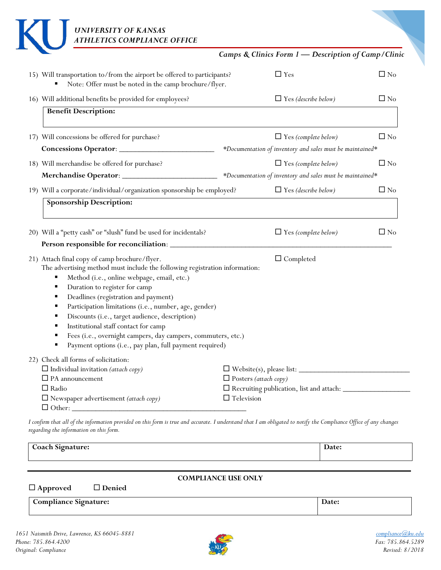|                                                                                                                                                                                                                                                                                                                                                                                                                                           |                              | Camps & Clinics Form 1 - Description of Camp/Clinic       |           |
|-------------------------------------------------------------------------------------------------------------------------------------------------------------------------------------------------------------------------------------------------------------------------------------------------------------------------------------------------------------------------------------------------------------------------------------------|------------------------------|-----------------------------------------------------------|-----------|
|                                                                                                                                                                                                                                                                                                                                                                                                                                           |                              |                                                           |           |
| 15) Will transportation to/from the airport be offered to participants?<br>Note: Offer must be noted in the camp brochure/flyer.                                                                                                                                                                                                                                                                                                          |                              | $\Box$ Yes                                                | $\Box$ No |
| 16) Will additional benefits be provided for employees?                                                                                                                                                                                                                                                                                                                                                                                   |                              | $\Box$ Yes (describe below)                               | $\Box$ No |
| <b>Benefit Description:</b>                                                                                                                                                                                                                                                                                                                                                                                                               |                              |                                                           |           |
| 17) Will concessions be offered for purchase?                                                                                                                                                                                                                                                                                                                                                                                             |                              | $\Box$ Yes (complete below)                               | $\Box$ No |
|                                                                                                                                                                                                                                                                                                                                                                                                                                           |                              | *Documentation of inventory and sales must be maintained* |           |
| 18) Will merchandise be offered for purchase?                                                                                                                                                                                                                                                                                                                                                                                             |                              | $\Box$ Yes (complete below)                               | $\Box$ No |
|                                                                                                                                                                                                                                                                                                                                                                                                                                           |                              | *Documentation of inventory and sales must be maintained* |           |
| 19) Will a corporate/individual/organization sponsorship be employed?                                                                                                                                                                                                                                                                                                                                                                     |                              | $\Box$ Yes (describe below)                               | $\Box$ No |
|                                                                                                                                                                                                                                                                                                                                                                                                                                           |                              |                                                           |           |
|                                                                                                                                                                                                                                                                                                                                                                                                                                           |                              | $\Box$ Yes (complete below)                               |           |
| The advertising method must include the following registration information:<br>Method (i.e., online webpage, email, etc.)<br>Е<br>Duration to register for camp<br>Ξ<br>Deadlines (registration and payment)<br>Ξ<br>Participation limitations (i.e., number, age, gender)<br>Е<br>Discounts (i.e., target audience, description)<br>Institutional staff contact for camp<br>Fees (i.e., overnight campers, day campers, commuters, etc.) |                              | $\Box$ Completed                                          | $\Box$ No |
| Payment options (i.e., pay plan, full payment required)                                                                                                                                                                                                                                                                                                                                                                                   |                              |                                                           |           |
| $\Box$ Individual invitation (attach copy)                                                                                                                                                                                                                                                                                                                                                                                                |                              |                                                           |           |
| 20) Will a "petty cash" or "slush" fund be used for incidentals?<br>21) Attach final copy of camp brochure/flyer.<br>22) Check all forms of solicitation:<br>$\Box$ PA announcement<br>$\Box$ Radio                                                                                                                                                                                                                                       | $\Box$ Posters (attach copy) |                                                           |           |

*I confirm that all of the information provided on this form is true and accurate. I understand that I am obligated to notify the Compliance Office of any changes regarding the information on this form.*

| Coach Signature: | Date: |
|------------------|-------|
|                  |       |

# **COMPLIANCE USE ONLY**

 **Approved Denied Compliance Signature: Date:**

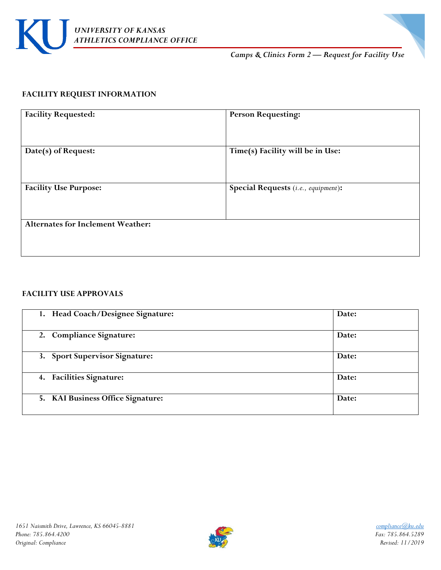

*Camps & Clinics Form 2 — Request for Facility Use*

# **FACILITY REQUEST INFORMATION**

| <b>Facility Requested:</b>               | <b>Person Requesting:</b>           |
|------------------------------------------|-------------------------------------|
| Date(s) of Request:                      | Time(s) Facility will be in Use:    |
| <b>Facility Use Purpose:</b>             | Special Requests (i.e., equipment): |
| <b>Alternates for Inclement Weather:</b> |                                     |

# **FACILITY USE APPROVALS**

| 1. Head Coach/Designee Signature: | Date: |
|-----------------------------------|-------|
| 2. Compliance Signature:          | Date: |
| 3. Sport Supervisor Signature:    | Date: |
| 4. Facilities Signature:          | Date: |
| 5. KAI Business Office Signature: | Date: |

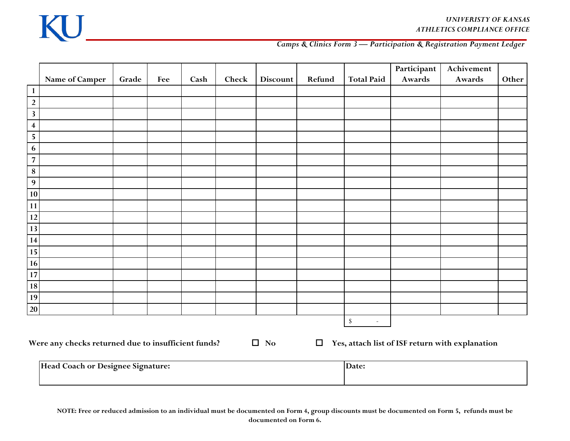

### *Camps & Clinics Form 3 — Participation & Registration Payment Ledger*

|                         |                                                     |       |     |      |       |                 |        |                                          | Participant | Achivement                                      |       |
|-------------------------|-----------------------------------------------------|-------|-----|------|-------|-----------------|--------|------------------------------------------|-------------|-------------------------------------------------|-------|
|                         | Name of Camper                                      | Grade | Fee | Cash | Check | <b>Discount</b> | Refund | <b>Total Paid</b>                        | Awards      | Awards                                          | Other |
| $\mathbf{1}$            |                                                     |       |     |      |       |                 |        |                                          |             |                                                 |       |
| $\sqrt{2}$              |                                                     |       |     |      |       |                 |        |                                          |             |                                                 |       |
| $\overline{\mathbf{3}}$ |                                                     |       |     |      |       |                 |        |                                          |             |                                                 |       |
| $\overline{\mathbf{4}}$ |                                                     |       |     |      |       |                 |        |                                          |             |                                                 |       |
| $\sqrt{5}$              |                                                     |       |     |      |       |                 |        |                                          |             |                                                 |       |
| $\bf 6$                 |                                                     |       |     |      |       |                 |        |                                          |             |                                                 |       |
| $\overline{\mathbf{7}}$ |                                                     |       |     |      |       |                 |        |                                          |             |                                                 |       |
| $\bf 8$                 |                                                     |       |     |      |       |                 |        |                                          |             |                                                 |       |
| $\overline{9}$          |                                                     |       |     |      |       |                 |        |                                          |             |                                                 |       |
| 10 <sup>1</sup>         |                                                     |       |     |      |       |                 |        |                                          |             |                                                 |       |
| 11                      |                                                     |       |     |      |       |                 |        |                                          |             |                                                 |       |
| $12\,$                  |                                                     |       |     |      |       |                 |        |                                          |             |                                                 |       |
| 13                      |                                                     |       |     |      |       |                 |        |                                          |             |                                                 |       |
| 14                      |                                                     |       |     |      |       |                 |        |                                          |             |                                                 |       |
| 15                      |                                                     |       |     |      |       |                 |        |                                          |             |                                                 |       |
| 16                      |                                                     |       |     |      |       |                 |        |                                          |             |                                                 |       |
| 17                      |                                                     |       |     |      |       |                 |        |                                          |             |                                                 |       |
| 18                      |                                                     |       |     |      |       |                 |        |                                          |             |                                                 |       |
| 19                      |                                                     |       |     |      |       |                 |        |                                          |             |                                                 |       |
| $20\,$                  |                                                     |       |     |      |       |                 |        |                                          |             |                                                 |       |
|                         |                                                     |       |     |      |       |                 |        | $\mathbb{S}$<br>$\overline{\phantom{a}}$ |             |                                                 |       |
|                         | Were any checks returned due to insufficient funds? |       |     |      |       | $\Box$ No       | $\Box$ |                                          |             | Yes, attach list of ISF return with explanation |       |
|                         | Head Coach or Designee Signature:                   |       |     |      |       | Date:           |        |                                          |             |                                                 |       |

**NOTE: Free or reduced admission to an individual must be documented on Form 4, group discounts must be documented on Form 5, refunds must be documented on Form 6.**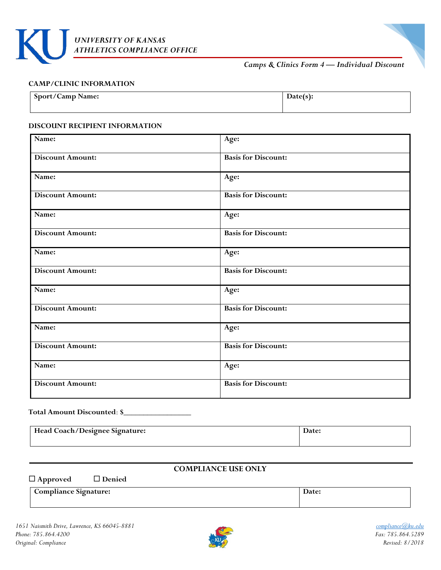

*Camps & Clinics Form 4 — Individual Discount*

#### **CAMP/CLINIC INFORMATION**

| <b>Sport/Camp Name:</b> |  |
|-------------------------|--|
|                         |  |

#### **DISCOUNT RECIPIENT INFORMATION**

| Name:                   | Age:                       |
|-------------------------|----------------------------|
| <b>Discount Amount:</b> | <b>Basis for Discount:</b> |
| Name:                   | Age:                       |
| <b>Discount Amount:</b> | <b>Basis for Discount:</b> |
| Name:                   | Age:                       |
| <b>Discount Amount:</b> | <b>Basis for Discount:</b> |
| Name:                   | Age:                       |
| <b>Discount Amount:</b> | <b>Basis for Discount:</b> |
| Name:                   | Age:                       |
| <b>Discount Amount:</b> | <b>Basis for Discount:</b> |
| Name:                   | Age:                       |
| <b>Discount Amount:</b> | <b>Basis for Discount:</b> |
| Name:                   | Age:                       |
| <b>Discount Amount:</b> | <b>Basis for Discount:</b> |

#### **Total Amount Discounted**: **\$**\_\_\_\_\_\_\_\_\_\_\_\_\_\_\_\_\_

| Head Coach/Designee Signature: |  |
|--------------------------------|--|
|                                |  |

**Approved Denied**

#### **COMPLIANCE USE ONLY**

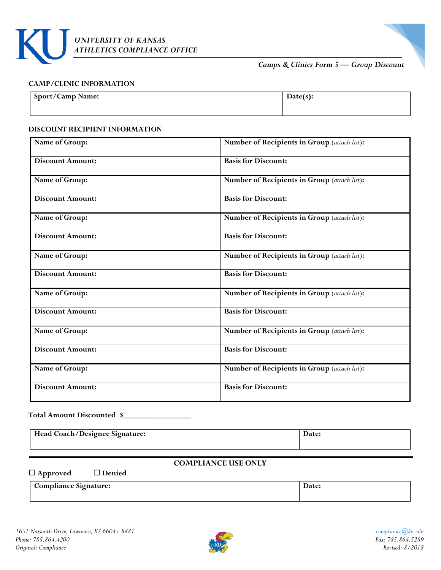

# *Camps & Clinics Form 5 — Group Discount*

#### **CAMP/CLINIC INFORMATION**

| <b>Sport/Camp Name:</b> | $Date(s)$ : |
|-------------------------|-------------|
|                         |             |

#### **DISCOUNT RECIPIENT INFORMATION**

| Name of Group:          | Number of Recipients in Group (attach list): |
|-------------------------|----------------------------------------------|
| <b>Discount Amount:</b> | <b>Basis for Discount:</b>                   |
| Name of Group:          | Number of Recipients in Group (attach list): |
| <b>Discount Amount:</b> | <b>Basis for Discount:</b>                   |
| Name of Group:          | Number of Recipients in Group (attach list): |
| <b>Discount Amount:</b> | <b>Basis for Discount:</b>                   |
| Name of Group:          | Number of Recipients in Group (attach list): |
| <b>Discount Amount:</b> | <b>Basis for Discount:</b>                   |
| Name of Group:          | Number of Recipients in Group (attach list): |
| <b>Discount Amount:</b> | <b>Basis for Discount:</b>                   |
| Name of Group:          | Number of Recipients in Group (attach list): |
| <b>Discount Amount:</b> | <b>Basis for Discount:</b>                   |
| Name of Group:          | Number of Recipients in Group (attach list): |
| <b>Discount Amount:</b> | <b>Basis for Discount:</b>                   |

#### **Total Amount Discounted**: **\$**\_\_\_\_\_\_\_\_\_\_\_\_\_\_\_\_\_

| Head Coach/Designee Signature: | Date |
|--------------------------------|------|
|                                |      |

# **COMPLIANCE USE ONLY**

**Approved Denied**

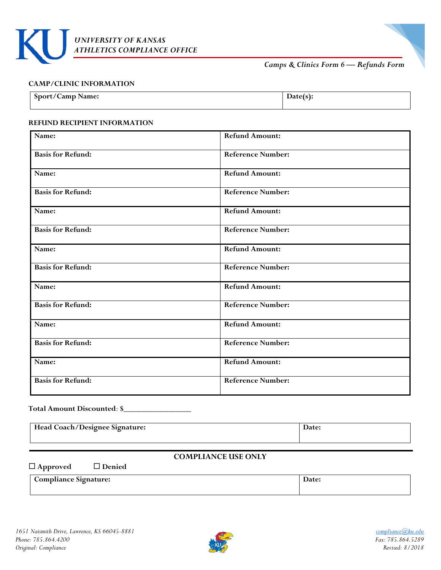

*Camps & Clinics Form 6 — Refunds Form*

#### **CAMP/CLINIC INFORMATION**

| Sport/Camp Name: | LEI 5 J. |
|------------------|----------|
|                  |          |

#### **REFUND RECIPIENT INFORMATION**

| Name:                    | <b>Refund Amount:</b>    |  |  |
|--------------------------|--------------------------|--|--|
| <b>Basis for Refund:</b> | <b>Reference Number:</b> |  |  |
| Name:                    | <b>Refund Amount:</b>    |  |  |
| <b>Basis for Refund:</b> | <b>Reference Number:</b> |  |  |
| Name:                    | <b>Refund Amount:</b>    |  |  |
| <b>Basis for Refund:</b> | <b>Reference Number:</b> |  |  |
| Name:                    | <b>Refund Amount:</b>    |  |  |
| <b>Basis for Refund:</b> | <b>Reference Number:</b> |  |  |
| Name:                    | <b>Refund Amount:</b>    |  |  |
| <b>Basis for Refund:</b> | <b>Reference Number:</b> |  |  |
| Name:                    | <b>Refund Amount:</b>    |  |  |
| <b>Basis for Refund:</b> | <b>Reference Number:</b> |  |  |
| Name:                    | <b>Refund Amount:</b>    |  |  |
| <b>Basis for Refund:</b> | <b>Reference Number:</b> |  |  |

#### **Total Amount Discounted**: **\$**\_\_\_\_\_\_\_\_\_\_\_\_\_\_\_\_\_

| Head Coach/Designee Signature: | Date: |
|--------------------------------|-------|
|--------------------------------|-------|

# **COMPLIANCE USE ONLY**

**Approved Denied**

| <b>Compliance Signature:</b> | Jalt. |
|------------------------------|-------|
|                              |       |

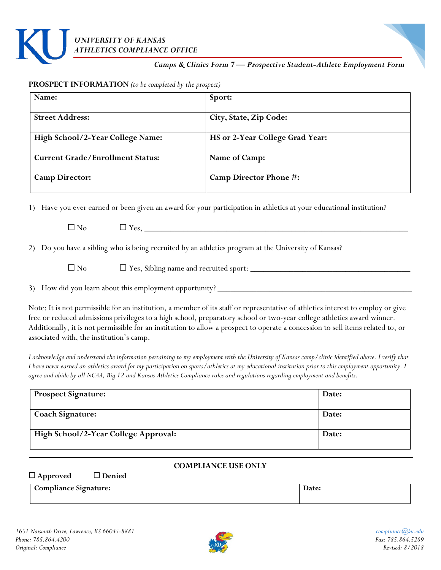

#### *Camps & Clinics Form 7 — Prospective Student-Athlete Employment Form*

#### **PROSPECT INFORMATION** *(to be completed by the prospect)*

| Name:                                   | Sport:                          |
|-----------------------------------------|---------------------------------|
| <b>Street Address:</b>                  | City, State, Zip Code:          |
| High School/2-Year College Name:        | HS or 2-Year College Grad Year: |
| <b>Current Grade/Enrollment Status:</b> | Name of Camp:                   |
| <b>Camp Director:</b>                   | Camp Director Phone #:          |

1) Have you ever earned or been given an award for your participation in athletics at your educational institution?

|--|

2) Do you have a sibling who is being recruited by an athletics program at the University of Kansas?

No Yes, Sibling name and recruited sport: \_\_\_\_\_\_\_\_\_\_\_\_\_\_\_\_\_\_\_\_\_\_\_\_\_\_\_\_\_\_\_\_\_\_\_\_\_

3) How did you learn about this employment opportunity? \_\_\_\_\_\_\_\_\_\_\_\_\_\_\_\_\_\_\_\_\_\_\_\_\_

Note: It is not permissible for an institution, a member of its staff or representative of athletics interest to employ or give free or reduced admissions privileges to a high school, preparatory school or two-year college athletics award winner. Additionally, it is not permissible for an institution to allow a prospect to operate a concession to sell items related to, or associated with, the institution's camp.

*I acknowledge and understand the information pertaining to my employment with the University of Kansas camp/clinic identified above. I verify that I have never earned an athletics award for my participation on sports/athletics at my educational institution prior to this employment opportunity. I agree and abide by all NCAA, Big 12 and Kansas Athletics Compliance rules and regulations regarding employment and benefits.*

| <b>Prospect Signature:</b>           | Date: |
|--------------------------------------|-------|
| <b>Coach Signature:</b>              | Date: |
| High School/2-Year College Approval: | Date: |

#### **COMPLIANCE USE ONLY**

| $\Box$ Approved | $\Box$ Denied |
|-----------------|---------------|
|                 |               |

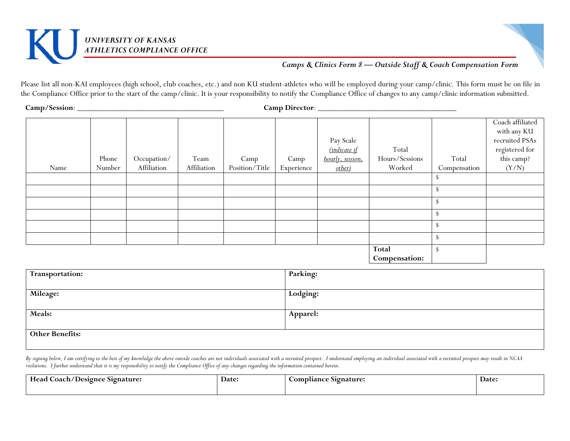

# *Camps & Clinics Form 8 — Outside Staff & Coach Compensation Form*

Please list all non-KAI employees (high school, club coaches, etc.) and non KU student-athletes who will be employed during your camp/clinic. This form must be on file in the Compliance Office prior to the start of the camp/clinic. It is your responsibility to notify the Compliance Office of changes to any camp/clinic information submitted.

**Camp/Session**: \_\_\_\_\_\_\_\_\_\_\_\_\_\_\_\_\_\_\_\_\_\_\_\_\_\_\_\_\_\_\_\_\_\_\_\_\_ **Camp Director**: \_\_\_\_\_\_\_\_\_\_\_\_\_\_\_\_\_\_\_\_\_\_\_\_\_\_\_\_\_\_\_\_\_\_\_

|      |        |             |             |                |            | Pay Scale<br>(indicate if | Total          |              | Coach affiliated<br>with any KU<br>$\operatorname{recruited}$ PSAs<br>$\,$ registered for |
|------|--------|-------------|-------------|----------------|------------|---------------------------|----------------|--------------|-------------------------------------------------------------------------------------------|
|      | Phone  | Occupation/ | Team        | Camp           | Camp       | hourly, session,          | Hours/Sessions | Total        | this camp?                                                                                |
| Name | Number | Affiliation | Affiliation | Position/Title | Experience | other)                    | Worked         | Compensation | (Y/N)                                                                                     |
|      |        |             |             |                |            |                           |                |              |                                                                                           |
|      |        |             |             |                |            |                           |                | ъ            |                                                                                           |
|      |        |             |             |                |            |                           |                | - 75         |                                                                                           |
|      |        |             |             |                |            |                           |                |              |                                                                                           |
|      |        |             |             |                |            |                           |                | Ж            |                                                                                           |
|      |        |             |             |                |            |                           |                | S            |                                                                                           |
|      |        |             |             |                |            |                           | Total          | - 55         |                                                                                           |
|      |        |             |             |                |            |                           | Compensation:  |              |                                                                                           |

| Transportation:        | <b>Parking:</b> |
|------------------------|-----------------|
| <b>Mileage:</b>        | Lodging:        |
|                        |                 |
| Meals:                 | <b>Apparel:</b> |
|                        |                 |
| <b>Other Benefits:</b> |                 |
|                        |                 |

By signing below, I am certifying to the best of my knowledge the above outside coaches are not individuals associated with a recruited prospect. I understand employing an individual associated with a recruited prospect ma *violations. I further understand that it is my responsibility to notify the Compliance Office of any changes regarding the information contained herein.* 

| Head<br>Coach/Designee Signature: | <b>Date:</b> | $\sim$<br>Compliance Signature: | Date: |
|-----------------------------------|--------------|---------------------------------|-------|
|                                   |              |                                 |       |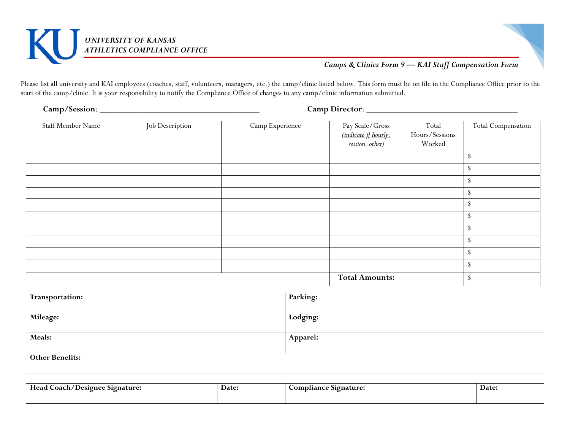



# *Camps & Clinics Form 9 — KAI Staff Compensation Form*

Please list all university and KAI employees (coaches, staff, volunteers, managers, etc.) the camp/clinic listed below. This form must be on file in the Compliance Office prior to the start of the camp/clinic. It is your responsibility to notify the Compliance Office of changes to any camp/clinic information submitted.

**Camp/Session**: \_\_\_\_\_\_\_\_\_\_\_\_\_\_\_\_\_\_\_\_\_\_\_\_\_\_\_\_\_\_\_\_\_\_\_\_\_ **Camp Director**: \_\_\_\_\_\_\_\_\_\_\_\_\_\_\_\_\_\_\_\_\_\_\_\_\_\_\_\_\_\_\_\_\_\_\_

| Staff Member Name | Job Description | Camp Experience |                                         | Total          | Total Compensation |
|-------------------|-----------------|-----------------|-----------------------------------------|----------------|--------------------|
|                   |                 |                 | Pay Scale/Gross<br>(indicate if hourly, | Hours/Sessions |                    |
|                   |                 |                 | session, other)                         | Worked         |                    |
|                   |                 |                 |                                         |                | ъ                  |
|                   |                 |                 |                                         |                | S                  |
|                   |                 |                 |                                         |                | S                  |
|                   |                 |                 |                                         |                | \$.                |
|                   |                 |                 |                                         |                | υ                  |
|                   |                 |                 |                                         |                | S                  |
|                   |                 |                 |                                         |                | S                  |
|                   |                 |                 |                                         |                | S                  |
|                   |                 |                 |                                         |                | S                  |
|                   |                 |                 |                                         |                | Ъ,                 |
|                   |                 |                 | <b>Total Amounts:</b>                   |                | <sup>\$</sup>      |
|                   |                 |                 |                                         |                |                    |

| Transportation:        | Parking:        |
|------------------------|-----------------|
| Mileage:               | Lodging:        |
| Meals:                 | <b>Apparel:</b> |
| <b>Other Benefits:</b> |                 |

| $\sim$<br>Head<br>Coach/<br>: Signature:<br>/ Designee | Date: | omr<br>Signature:<br>.oliance | <b>Date:</b> |
|--------------------------------------------------------|-------|-------------------------------|--------------|
|                                                        |       |                               |              |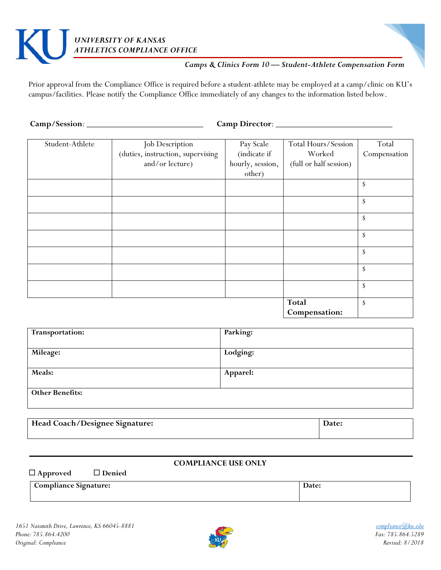# *UNIVERSITY OF KANSAS ATHLETICS COMPLIANCE OFFICE*

# *Camps & Clinics Form 10 — Student-Athlete Compensation Form*

Prior approval from the Compliance Office is required before a student-athlete may be employed at a camp/clinic on KU's campus/facilities. Please notify the Compliance Office immediately of any changes to the information listed below.

**Camp/Session**: \_\_\_\_\_\_\_\_\_\_\_\_\_\_\_\_\_\_\_\_\_\_\_\_\_\_\_ **Camp Director**: \_\_\_\_\_\_\_\_\_\_\_\_\_\_\_\_\_\_\_\_\_\_\_\_\_\_\_

| Student-Athlete | Job Description                   | Pay Scale        | Total Hours/Session    | Total        |
|-----------------|-----------------------------------|------------------|------------------------|--------------|
|                 | (duties, instruction, supervising | (indicate if     | Worked                 | Compensation |
|                 | and/or lecture)                   | hourly, session, | (full or half session) |              |
|                 |                                   | other)           |                        |              |
|                 |                                   |                  |                        | \$           |
|                 |                                   |                  |                        | <sup>S</sup> |
|                 |                                   |                  |                        | \$           |
|                 |                                   |                  |                        | \$           |
|                 |                                   |                  |                        | \$           |
|                 |                                   |                  |                        | \$           |
|                 |                                   |                  |                        | \$           |
|                 |                                   |                  | <b>Total</b>           | \$           |
|                 |                                   |                  | Compensation:          |              |

| Transportation:        | Parking: |
|------------------------|----------|
| Mileage:               | Lodging: |
| Meals:                 | Apparel: |
| <b>Other Benefits:</b> |          |

| Head Coach/Designee Signature: | Date: |
|--------------------------------|-------|
|                                |       |

## **COMPLIANCE USE ONLY**

**Approved Denied**

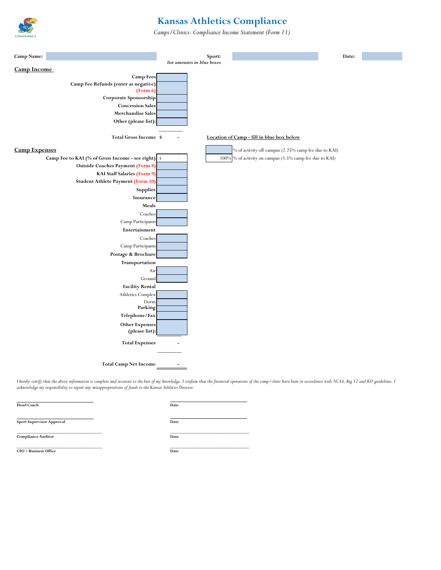

# **Kansas Athletics Compliance**

*Camps/Clinics: Compliance Income Statement (Form 11)*



I hereby certify that the above information is complete and accurate to the best of my knowledge. I confirm that the financial operations of the camp/clinic have been in accordance with NCAA, Big 12 and KU guidelines. I *acknowledge my responsibility to report any misappropriations of funds to the Kansas Athletics Director.*

| <b>Head Coach</b>                | Date |
|----------------------------------|------|
| <b>Sport Supervisor Approval</b> | Date |
| <b>Compliance Auditor</b>        | Date |
| CFO / Business Office            | Date |